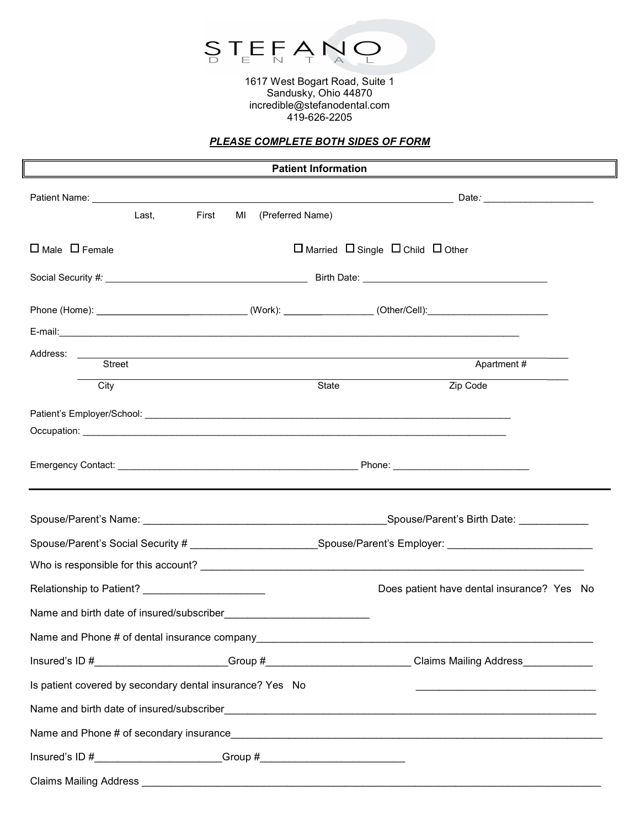

1617 West Bogart Road, Suite 1 Sandusky, Ohio 44870 incredible@stefanodental.com 419-626-2205

## PLEASE COMPLETE BOTH SIDES OF FORM

| <b>Patient Information</b>                                                                                    |                                                                                  |                        |                                                        |                                                                                                                                                                                                                                      |  |
|---------------------------------------------------------------------------------------------------------------|----------------------------------------------------------------------------------|------------------------|--------------------------------------------------------|--------------------------------------------------------------------------------------------------------------------------------------------------------------------------------------------------------------------------------------|--|
|                                                                                                               |                                                                                  |                        |                                                        |                                                                                                                                                                                                                                      |  |
|                                                                                                               | First<br>Last,                                                                   | (Preferred Name)<br>MI |                                                        |                                                                                                                                                                                                                                      |  |
| $\Box$ Male $\Box$ Female                                                                                     |                                                                                  |                        | $\Box$ Married $\Box$ Single $\Box$ Child $\Box$ Other |                                                                                                                                                                                                                                      |  |
|                                                                                                               |                                                                                  |                        |                                                        |                                                                                                                                                                                                                                      |  |
|                                                                                                               |                                                                                  |                        |                                                        | Phone (Home): _________________________________(Work): _________________(Other/Cell): ________________________                                                                                                                       |  |
|                                                                                                               |                                                                                  |                        |                                                        |                                                                                                                                                                                                                                      |  |
| Address: ______                                                                                               | Street                                                                           |                        |                                                        | Apartment#                                                                                                                                                                                                                           |  |
| City                                                                                                          |                                                                                  |                        | State                                                  | Zip Code                                                                                                                                                                                                                             |  |
|                                                                                                               |                                                                                  |                        |                                                        |                                                                                                                                                                                                                                      |  |
|                                                                                                               |                                                                                  |                        |                                                        | Occupation: <u>example and contract and contract and contract and contract and contract and contract and contract of the second contract of the second contract of the second contract of the second contract of the second cont</u> |  |
|                                                                                                               |                                                                                  |                        |                                                        | Emergency Contact: <u>Contactive Contactive Contactive Contactive Contactive Contactive Contactive Contactive Contactive Contactive Contactive Contactive Contactive Contactive Contactive Contactive Contactive Contactive Cont</u> |  |
|                                                                                                               |                                                                                  |                        |                                                        |                                                                                                                                                                                                                                      |  |
| Spouse/Parent's Social Security # ________________________Spouse/Parent's Employer: _________________________ |                                                                                  |                        |                                                        |                                                                                                                                                                                                                                      |  |
|                                                                                                               |                                                                                  |                        |                                                        |                                                                                                                                                                                                                                      |  |
|                                                                                                               |                                                                                  |                        | Does patient have dental insurance? Yes No             |                                                                                                                                                                                                                                      |  |
|                                                                                                               |                                                                                  |                        |                                                        |                                                                                                                                                                                                                                      |  |
|                                                                                                               | Name and Phone # of dental insurance company                                     |                        |                                                        |                                                                                                                                                                                                                                      |  |
|                                                                                                               |                                                                                  |                        |                                                        | Insured's ID #________________________Group #________________________Claims Mailing Address_____________                                                                                                                             |  |
|                                                                                                               | Is patient covered by secondary dental insurance? Yes No                         |                        |                                                        |                                                                                                                                                                                                                                      |  |
| Name and birth date of insured/subscriber                                                                     |                                                                                  |                        |                                                        |                                                                                                                                                                                                                                      |  |
|                                                                                                               |                                                                                  |                        |                                                        |                                                                                                                                                                                                                                      |  |
|                                                                                                               | Insured's ID #________________________Group #___________________________________ |                        |                                                        |                                                                                                                                                                                                                                      |  |
|                                                                                                               |                                                                                  |                        |                                                        |                                                                                                                                                                                                                                      |  |